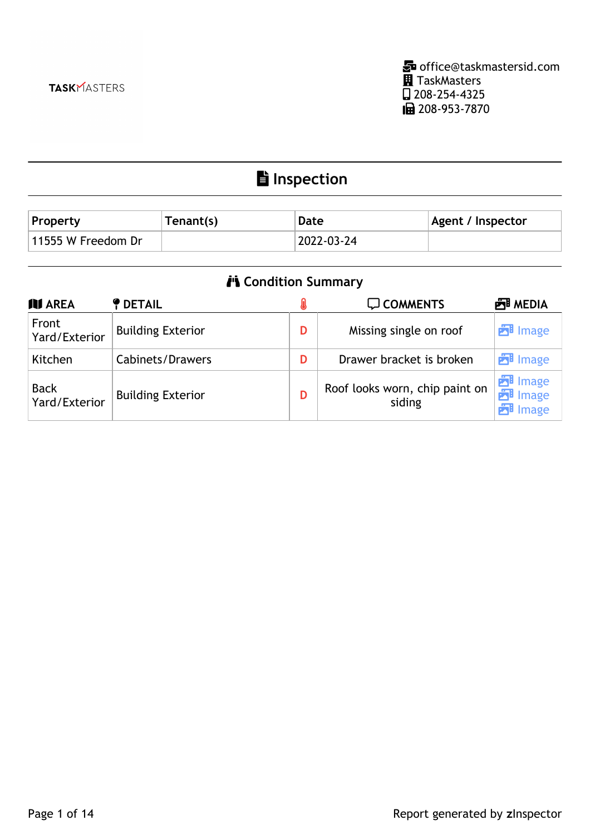**Inspection**

| <b>Property</b>    | Tenant(s) | Date       | <b>Agent / Inspector</b> |
|--------------------|-----------|------------|--------------------------|
| 11555 W Freedom Dr |           | 2022-03-24 |                          |

| <b>i'i</b> Condition Summary |                          |   |                                          |                                                    |
|------------------------------|--------------------------|---|------------------------------------------|----------------------------------------------------|
| <b>III</b> AREA              | <b>P</b> DETAIL          |   | <b>Q COMMENTS</b>                        | <b>西 MEDIA</b>                                     |
| Front<br>Yard/Exterior       | <b>Building Exterior</b> | D | Missing single on roof                   | <b>E</b> lmage                                     |
| Kitchen                      | Cabinets/Drawers         | D | Drawer bracket is broken                 | <b>E</b> lmage                                     |
| <b>Back</b><br>Yard/Exterior | <b>Building Exterior</b> | D | Roof looks worn, chip paint on<br>siding | <b>E</b> lmage<br><b>P</b> lmage<br><b>E</b> lmage |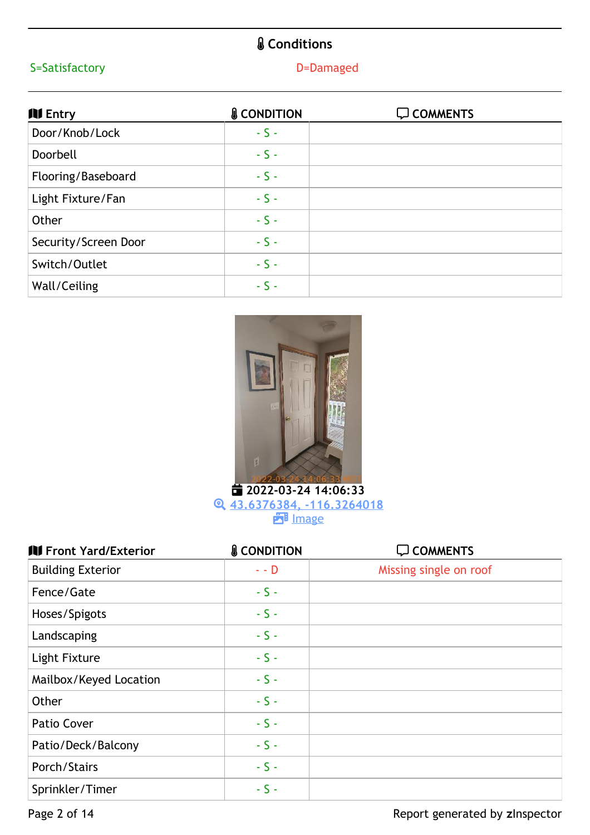# **Conditions**

## S=Satisfactory **D**=Damaged

| <b>NI Entry</b>      | <b>&amp; CONDITION</b> | <b>Q COMMENTS</b> |
|----------------------|------------------------|-------------------|
| Door/Knob/Lock       | $-S -$                 |                   |
| Doorbell             | $-S -$                 |                   |
| Flooring/Baseboard   | $-S -$                 |                   |
| Light Fixture/Fan    | $-S -$                 |                   |
| Other                | $-S -$                 |                   |
| Security/Screen Door | $-S -$                 |                   |
| Switch/Outlet        | $-S -$                 |                   |
| Wall/Ceiling         | $-S -$                 |                   |



 **2022-03-24 14:06:33 43.6376384, [-116.3264018](https://portfolio.zinspector.com/report/openMediaDocument/?type=map&data=43.6376384,-116.3264018&area=Entry&areaDesc=&areaNum=1&from=html&additionalDays=&includeAllActivities=&id=2164815213572458325&userPk=7602) PH** [Image](https://portfolio.zinspector.com/report/media/4zg50naveRX1W1gy1cjYBJDNEqWZxwBb)

| <b>III</b> Front Yard/Exterior | <b>&amp; CONDITION</b> | <b>Q COMMENTS</b>      |
|--------------------------------|------------------------|------------------------|
| <b>Building Exterior</b>       | $-$ D                  | Missing single on roof |
| Fence/Gate                     | $-S -$                 |                        |
| Hoses/Spigots                  | $-S -$                 |                        |
| Landscaping                    | $-S -$                 |                        |
| Light Fixture                  | $-S -$                 |                        |
| Mailbox/Keyed Location         | $-S -$                 |                        |
| Other                          | $-S -$                 |                        |
| Patio Cover                    | $-S -$                 |                        |
| Patio/Deck/Balcony             | $-S -$                 |                        |
| Porch/Stairs                   | $-S -$                 |                        |
| Sprinkler/Timer                | $-S -$                 |                        |

Page 2 of 14 **Page 2 of 14** Report generated by zInspector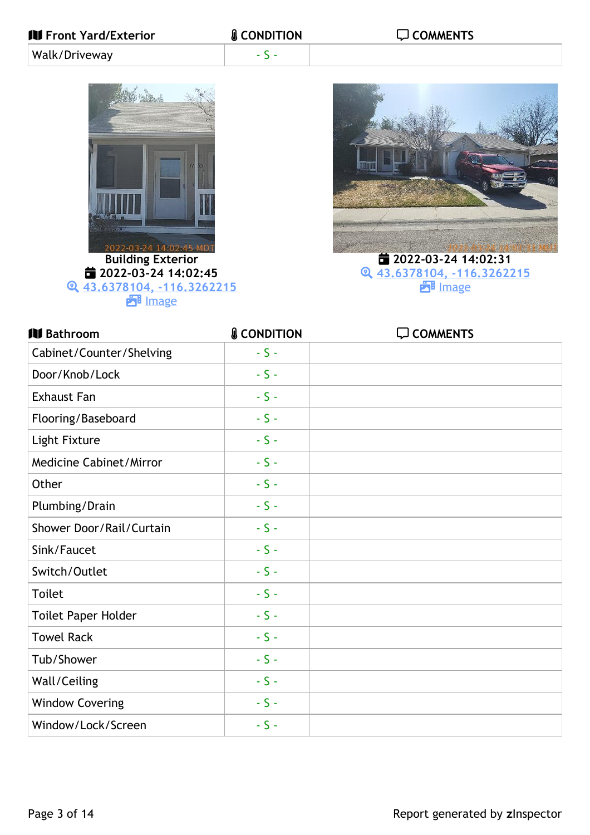| 2022-03-24 14:02:45 MD<br><b>Building Exterior</b><br>■ 2022-03-24 14:02:45<br>Q 43.6378104, -116.3262215<br><b>ET</b> Image |                        | ■ 2022-03-24 14:02:31<br>Q 43.6378104, -116.3262215<br><b>ET</b> Image |
|------------------------------------------------------------------------------------------------------------------------------|------------------------|------------------------------------------------------------------------|
| <b>III</b> Bathroom                                                                                                          | <b>&amp; CONDITION</b> | <b>Q COMMENTS</b>                                                      |
| Cabinet/Counter/Shelving                                                                                                     | $-S -$                 |                                                                        |
| Door/Knob/Lock                                                                                                               | $-S -$                 |                                                                        |
| <b>Exhaust Fan</b>                                                                                                           | $-5-$                  |                                                                        |
| Flooring/Baseboard                                                                                                           | $-S -$                 |                                                                        |
| Light Fixture                                                                                                                | $-S -$                 |                                                                        |
| <b>Medicine Cabinet/Mirror</b>                                                                                               | $-5-$                  |                                                                        |
| Other                                                                                                                        | $-S -$                 |                                                                        |
| Plumbing/Drain                                                                                                               | $-S -$                 |                                                                        |
| Shower Door/Rail/Curtain                                                                                                     | $S -$                  |                                                                        |
| Sink/Faucet                                                                                                                  | $-S -$                 |                                                                        |
| Switch/Outlet                                                                                                                | $-S -$                 |                                                                        |
| <b>Toilet</b>                                                                                                                | $-S -$                 |                                                                        |
| <b>Toilet Paper Holder</b>                                                                                                   | $-S -$                 |                                                                        |
| <b>Towel Rack</b>                                                                                                            | $-S -$                 |                                                                        |
| Tub/Shower                                                                                                                   | $-5-$                  |                                                                        |
| Wall/Ceiling                                                                                                                 | $-S -$                 |                                                                        |
| <b>Window Covering</b>                                                                                                       | $-S -$                 |                                                                        |
| Window/Lock/Screen                                                                                                           | $-S -$                 |                                                                        |
|                                                                                                                              |                        |                                                                        |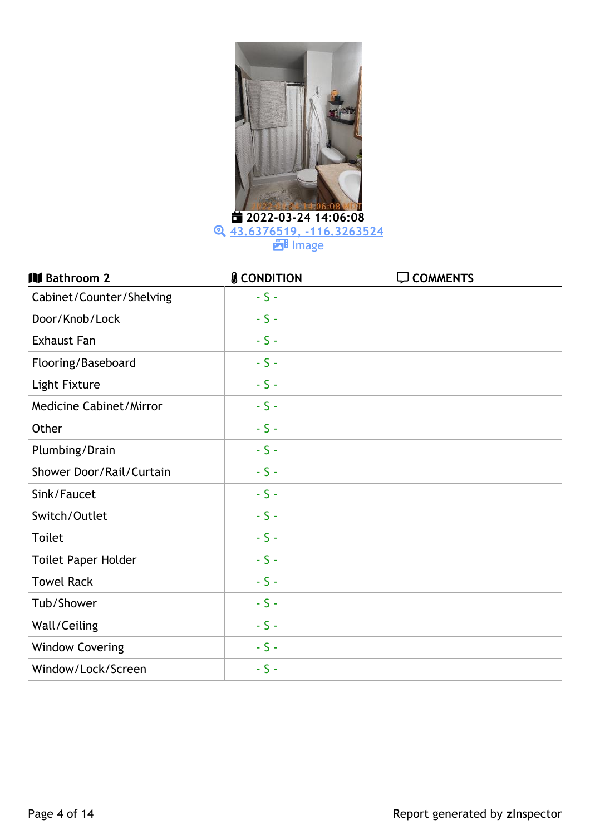

 **43.6376519, [-116.3263524](https://portfolio.zinspector.com/report/openMediaDocument/?type=map&data=43.6376519,-116.3263524&area=Bathroom&areaDesc=&areaNum=1&from=html&additionalDays=&includeAllActivities=&id=2164815213572458325&userPk=7602) PH** [Image](https://portfolio.zinspector.com/report/media/oPkwzjdVyq7mVzppbsv9OXDl8pQLYA3e)

| <b>III</b> Bathroom 2      | <b>&amp; CONDITION</b> | <b>Q COMMENTS</b> |
|----------------------------|------------------------|-------------------|
| Cabinet/Counter/Shelving   | $-S -$                 |                   |
| Door/Knob/Lock             | $-S -$                 |                   |
| <b>Exhaust Fan</b>         | $-S -$                 |                   |
| Flooring/Baseboard         | $-5-$                  |                   |
| Light Fixture              | $-S -$                 |                   |
| Medicine Cabinet/Mirror    | $-5-$                  |                   |
| Other                      | $-5-$                  |                   |
| Plumbing/Drain             | $-S -$                 |                   |
| Shower Door/Rail/Curtain   | $-5-$                  |                   |
| Sink/Faucet                | $-5-$                  |                   |
| Switch/Outlet              | $-5-$                  |                   |
| <b>Toilet</b>              | $-5-$                  |                   |
| <b>Toilet Paper Holder</b> | $-5-$                  |                   |
| <b>Towel Rack</b>          | $-5-$                  |                   |
| Tub/Shower                 | $-5-$                  |                   |
| Wall/Ceiling               | $-5-$                  |                   |
| <b>Window Covering</b>     | $-5-$                  |                   |
| Window/Lock/Screen         | $-S -$                 |                   |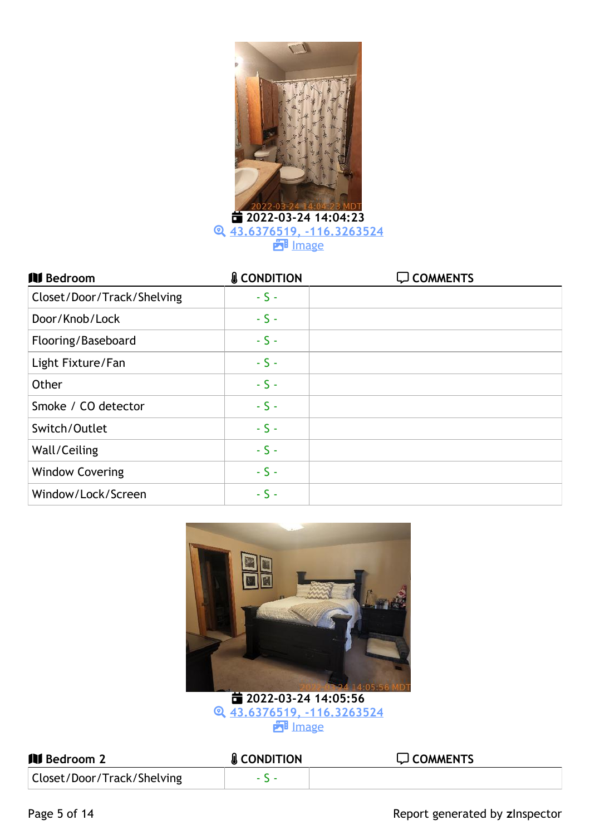

 **2022-03-24 14:04:23 43.6376519, [-116.3263524](https://portfolio.zinspector.com/report/openMediaDocument/?type=map&data=43.6376519,-116.3263524&area=Bathroom&areaDesc=&areaNum=2&from=html&additionalDays=&includeAllActivities=&id=2164815213572458325&userPk=7602) PH** [Image](https://portfolio.zinspector.com/report/media/y9RkegBxLAJ3R1NwLux6ArG6NbnKdZVm)

| <b>III</b> Bedroom         | <b>&amp; CONDITION</b> | <b>Q COMMENTS</b> |
|----------------------------|------------------------|-------------------|
| Closet/Door/Track/Shelving | $-S -$                 |                   |
| Door/Knob/Lock             | $-S -$                 |                   |
| Flooring/Baseboard         | $-S -$                 |                   |
| Light Fixture/Fan          | $-S -$                 |                   |
| Other                      | $-S -$                 |                   |
| Smoke / CO detector        | $-S -$                 |                   |
| Switch/Outlet              | $-S -$                 |                   |
| Wall/Ceiling               | $-S -$                 |                   |
| <b>Window Covering</b>     | $-S -$                 |                   |
| Window/Lock/Screen         | $-S -$                 |                   |



 **2022-03-24 14:05:56 43.6376519, [-116.3263524](https://portfolio.zinspector.com/report/openMediaDocument/?type=map&data=43.6376519,-116.3263524&area=Bedroom&areaDesc=&areaNum=1&from=html&additionalDays=&includeAllActivities=&id=2164815213572458325&userPk=7602) P**ilmage

| <b>III</b> Bedroom 2       | <b>&amp; CONDITION</b> | $\Box$ COMMENTS |
|----------------------------|------------------------|-----------------|
| Closet/Door/Track/Shelving |                        |                 |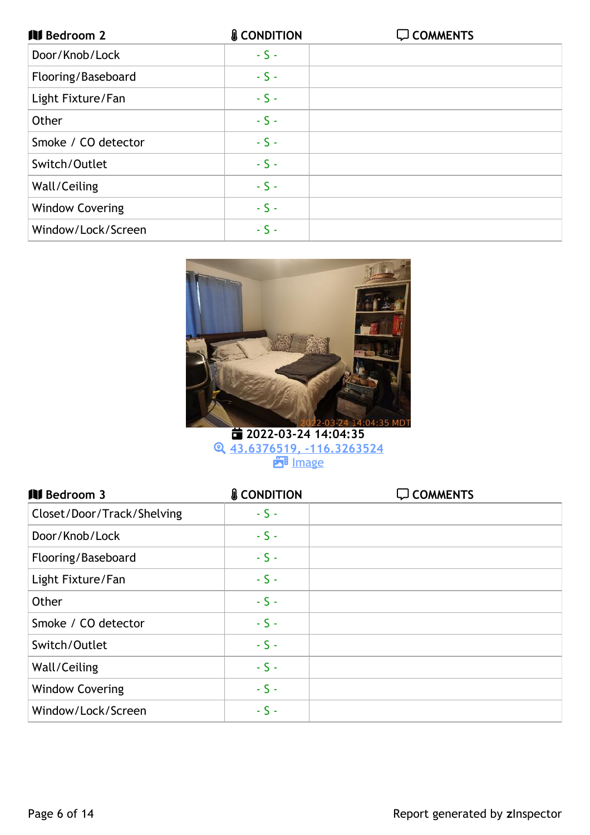| <b>III</b> Bedroom 2   | <b>&amp; CONDITION</b> | <b>Q COMMENTS</b> |
|------------------------|------------------------|-------------------|
| Door/Knob/Lock         | $-S -$                 |                   |
| Flooring/Baseboard     | $-S -$                 |                   |
| Light Fixture/Fan      | $-S -$                 |                   |
| Other                  | $-S -$                 |                   |
| Smoke / CO detector    | $-S -$                 |                   |
| Switch/Outlet          | $-S -$                 |                   |
| Wall/Ceiling           | $-S -$                 |                   |
| <b>Window Covering</b> | $-S -$                 |                   |
| Window/Lock/Screen     | $-S -$                 |                   |



 **2022-03-24 14:04:35 43.6376519, [-116.3263524](https://portfolio.zinspector.com/report/openMediaDocument/?type=map&data=43.6376519,-116.3263524&area=Bedroom&areaDesc=&areaNum=2&from=html&additionalDays=&includeAllActivities=&id=2164815213572458325&userPk=7602) PH** [Image](https://portfolio.zinspector.com/report/media/y9RkegBxLAJ3R1N3Rfx6ArG6NbnKdZVm)

| <b>III</b> Bedroom 3       | <b>&amp; CONDITION</b> | $\Box$ COMMENTS |
|----------------------------|------------------------|-----------------|
| Closet/Door/Track/Shelving | $-S -$                 |                 |
| Door/Knob/Lock             | $-S -$                 |                 |
| Flooring/Baseboard         | $-S -$                 |                 |
| Light Fixture/Fan          | $-S -$                 |                 |
| Other                      | $-S -$                 |                 |
| Smoke / CO detector        | $-S -$                 |                 |
| Switch/Outlet              | $-S -$                 |                 |
| Wall/Ceiling               | $-S -$                 |                 |
| <b>Window Covering</b>     | $-S -$                 |                 |
| Window/Lock/Screen         | $-S -$                 |                 |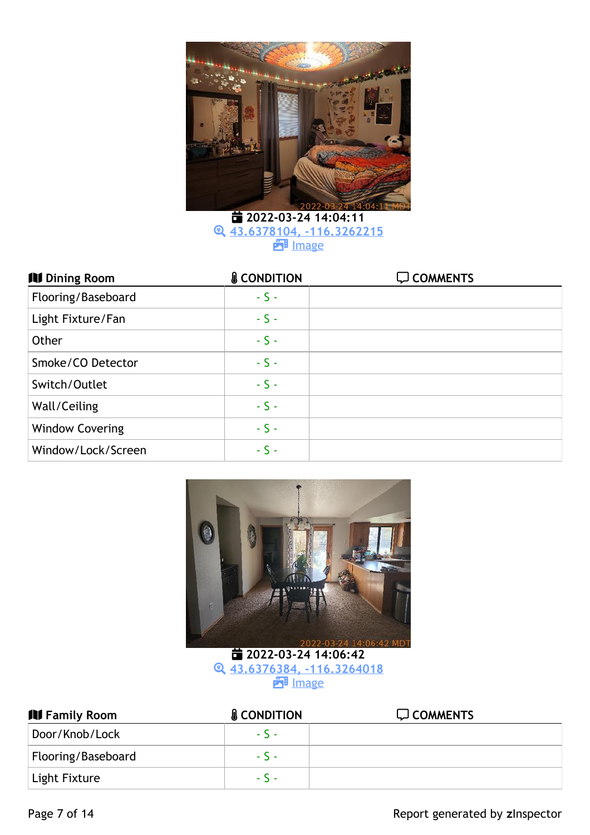

 **2022-03-24 14:04:11 43.6378104, [-116.3262215](https://portfolio.zinspector.com/report/openMediaDocument/?type=map&data=43.6378104,-116.3262215&area=Bedroom&areaDesc=&areaNum=3&from=html&additionalDays=&includeAllActivities=&id=2164815213572458325&userPk=7602) PH** [Image](https://portfolio.zinspector.com/report/media/PbKeLQ8pqGryVZ4xOC6BjJgl05BnDZzM)

| <b>IV</b> Dining Room  | <b>&amp; CONDITION</b> | <b>Q COMMENTS</b> |
|------------------------|------------------------|-------------------|
| Flooring/Baseboard     | $-S -$                 |                   |
| Light Fixture/Fan      | $-S -$                 |                   |
| Other                  | $-S -$                 |                   |
| Smoke/CO Detector      | $-S -$                 |                   |
| Switch/Outlet          | $-S -$                 |                   |
| Wall/Ceiling           | $-S -$                 |                   |
| <b>Window Covering</b> | $-S -$                 |                   |
| Window/Lock/Screen     | $-S -$                 |                   |



 **2022-03-24 14:06:42 43.6376384, [-116.3264018](https://portfolio.zinspector.com/report/openMediaDocument/?type=map&data=43.6376384,-116.3264018&area=Dining%20Room&areaDesc=&areaNum=1&from=html&additionalDays=&includeAllActivities=&id=2164815213572458325&userPk=7602) B** [Image](https://portfolio.zinspector.com/report/media/p61mxYzNaw78wZKmlInlQJbo3gBne4GV)

| <b>IV Family Room</b> | <b>&amp; CONDITION</b> | $\Box$ COMMENTS |
|-----------------------|------------------------|-----------------|
| Door/Knob/Lock        | $-5 -$                 |                 |
| Flooring/Baseboard    | $-5 -$                 |                 |
| Light Fixture         | $-5 -$                 |                 |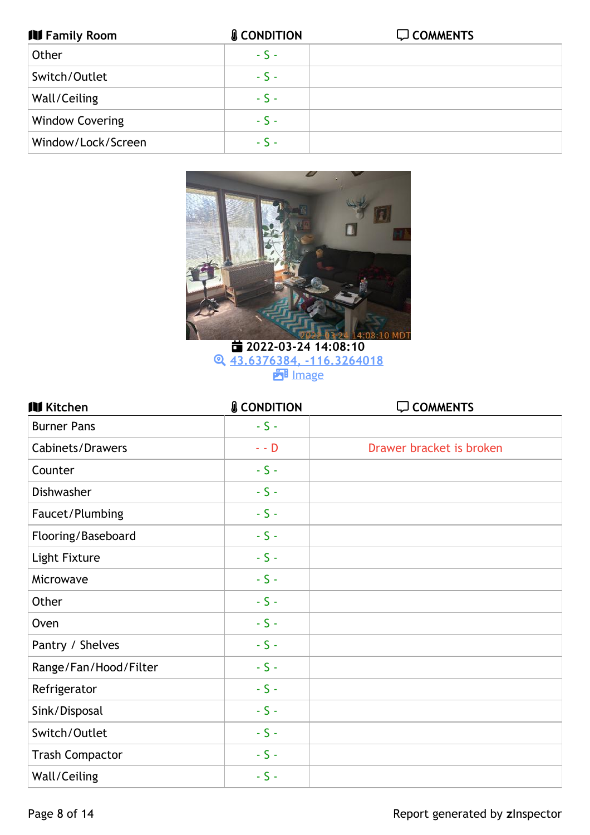| <b>IV Family Room</b>  | <b>&amp; CONDITION</b> | <b>Q COMMENTS</b> |
|------------------------|------------------------|-------------------|
| Other                  | $-S -$                 |                   |
| Switch/Outlet          | $-S -$                 |                   |
| Wall/Ceiling           | $-S -$                 |                   |
| <b>Window Covering</b> | $-S -$                 |                   |
| Window/Lock/Screen     | $-S -$                 |                   |



 **2022-03-24 14:08:10 43.6376384, [-116.3264018](https://portfolio.zinspector.com/report/openMediaDocument/?type=map&data=43.6376384,-116.3264018&area=Family%20Room&areaDesc=&areaNum=1&from=html&additionalDays=&includeAllActivities=&id=2164815213572458325&userPk=7602) P**image

| <b>IV Kitchen</b>       | <b>&amp; CONDITION</b> | <b>Q COMMENTS</b>        |
|-------------------------|------------------------|--------------------------|
| <b>Burner Pans</b>      | $-S -$                 |                          |
| <b>Cabinets/Drawers</b> | $\sim$ - $\bar{D}$     | Drawer bracket is broken |
| Counter                 | $-S -$                 |                          |
| <b>Dishwasher</b>       | $-S -$                 |                          |
| Faucet/Plumbing         | $-5-$                  |                          |
| Flooring/Baseboard      | $-5-$                  |                          |
| Light Fixture           | $-S -$                 |                          |
| Microwave               | $-S -$                 |                          |
| Other                   | $-5-$                  |                          |
| Oven                    | $-S -$                 |                          |
| Pantry / Shelves        | $-S -$                 |                          |
| Range/Fan/Hood/Filter   | $-S -$                 |                          |
| Refrigerator            | $-5-$                  |                          |
| Sink/Disposal           | $-5-$                  |                          |
| Switch/Outlet           | $-5-$                  |                          |
| <b>Trash Compactor</b>  | $-S -$                 |                          |
| Wall/Ceiling            | $-S -$                 |                          |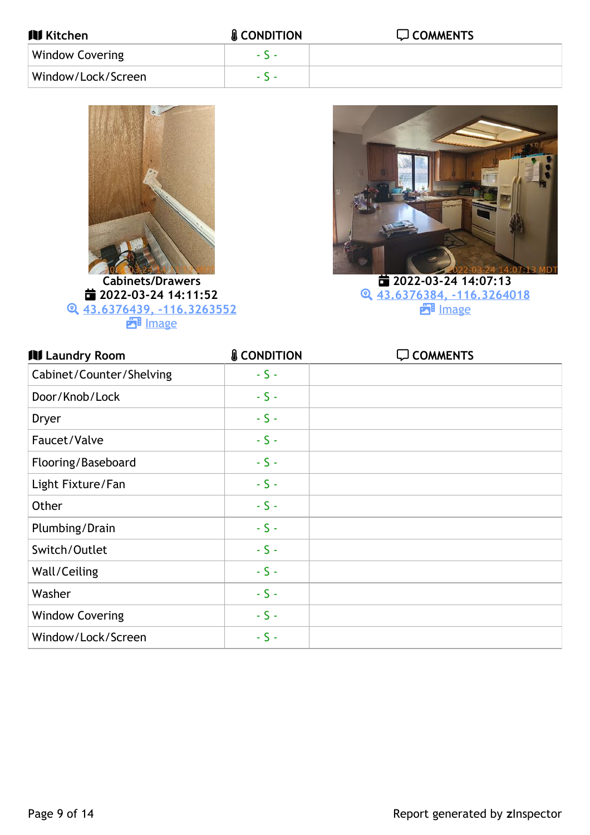| <b>III</b> Kitchen     | <b>&amp; CONDITION</b> | $\Box$ COMMENTS |
|------------------------|------------------------|-----------------|
| <b>Window Covering</b> | $-5 -$                 |                 |
| Window/Lock/Screen     | $S =$                  |                 |



 **2022-03-24 14:11:52 43.6376439, [-116.3263552](https://portfolio.zinspector.com/report/openMediaDocument/?type=map&data=43.6376439,-116.3263552&area=Kitchen&areaDesc=&areaNum=1&from=html&additionalDays=&includeAllActivities=&id=2164815213572458325&userPk=7602) P**ilmage



 **2022-03-24 14:07:13 43.6376384, [-116.3264018](https://portfolio.zinspector.com/report/openMediaDocument/?type=map&data=43.6376384,-116.3264018&area=Kitchen&areaDesc=&areaNum=1&from=html&additionalDays=&includeAllActivities=&id=2164815213572458325&userPk=7602) P**ilmage

| <b>III</b> Laundry Room  | <b>&amp; CONDITION</b> | <b>Q COMMENTS</b> |
|--------------------------|------------------------|-------------------|
| Cabinet/Counter/Shelving | $-S -$                 |                   |
| Door/Knob/Lock           | $-S -$                 |                   |
| Dryer                    | $-S -$                 |                   |
| Faucet/Valve             | $-S -$                 |                   |
| Flooring/Baseboard       | $-S -$                 |                   |
| Light Fixture/Fan        | $-S -$                 |                   |
| Other                    | $-S -$                 |                   |
| Plumbing/Drain           | $-S -$                 |                   |
| Switch/Outlet            | $-S -$                 |                   |
| Wall/Ceiling             | $-S -$                 |                   |
| Washer                   | $-S -$                 |                   |
| <b>Window Covering</b>   | $-S -$                 |                   |
| Window/Lock/Screen       | $-S -$                 |                   |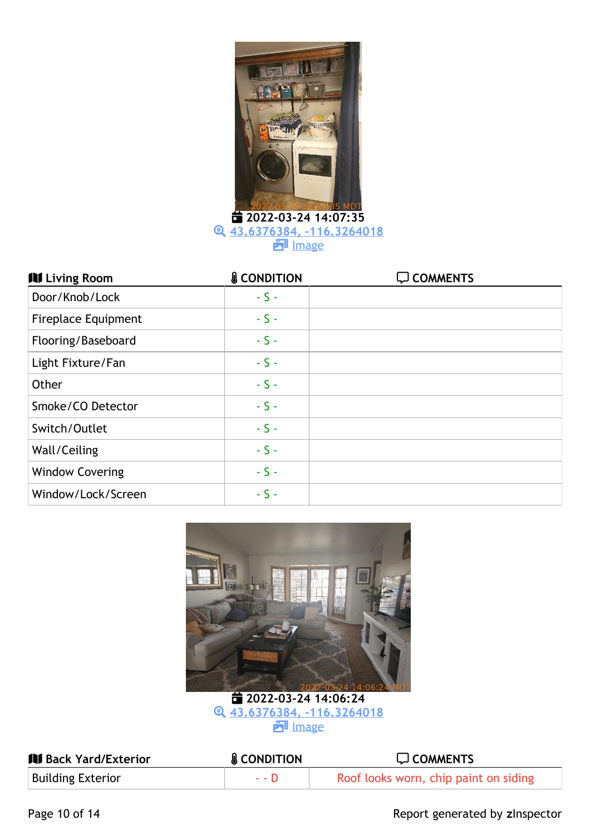

**43.6376384, [-116.3264018](https://portfolio.zinspector.com/report/openMediaDocument/?type=map&data=43.6376384,-116.3264018&area=Laundry%20Room&areaDesc=&areaNum=1&from=html&additionalDays=&includeAllActivities=&id=2164815213572458325&userPk=7602)**

**PH** [Image](https://portfolio.zinspector.com/report/media/15YylDVEML7nVPxqgfjZA7B2a0R6Nq4Z)

| <b>III</b> Living Room     | <b>&amp; CONDITION</b> | <b>Q COMMENTS</b> |
|----------------------------|------------------------|-------------------|
| Door/Knob/Lock             | $-S -$                 |                   |
| <b>Fireplace Equipment</b> | $-S -$                 |                   |
| Flooring/Baseboard         | $-S -$                 |                   |
| Light Fixture/Fan          | $-S -$                 |                   |
| Other                      | $-S -$                 |                   |
| Smoke/CO Detector          | $-S -$                 |                   |
| Switch/Outlet              | $-S -$                 |                   |
| Wall/Ceiling               | $-S -$                 |                   |
| <b>Window Covering</b>     | $-S -$                 |                   |
| Window/Lock/Screen         | $-S -$                 |                   |



 **2022-03-24 14:06:24 43.6376384, [-116.3264018](https://portfolio.zinspector.com/report/openMediaDocument/?type=map&data=43.6376384,-116.3264018&area=Living%20Room&areaDesc=&areaNum=1&from=html&additionalDays=&includeAllActivities=&id=2164815213572458325&userPk=7602) ET** [Image](https://portfolio.zinspector.com/report/media/n18pexyNQjJ46lYddI2Y3XEq96bw4WDR)

| <b>IV Back Yard/Exterior</b> | <b>&amp; CONDITION</b> | $\Box$ COMMENTS                       |
|------------------------------|------------------------|---------------------------------------|
| <b>Building Exterior</b>     | $-11$                  | Roof looks worn, chip paint on siding |

Page 10 of 14 **Page 10 of 14** Report generated by zinspector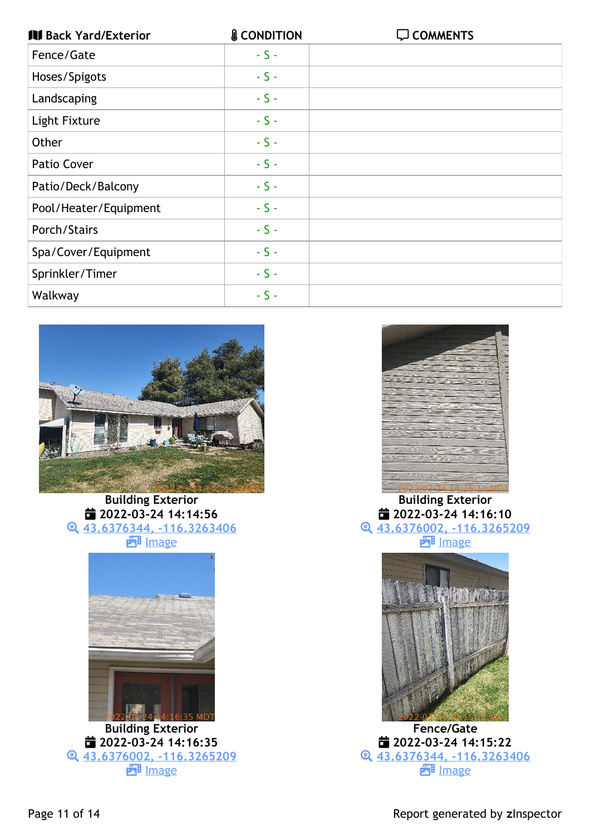| <b>IV Back Yard/Exterior</b> | <b>&amp; CONDITION</b> | <b>COMMENTS</b> |
|------------------------------|------------------------|-----------------|
| Fence/Gate                   | $-S -$                 |                 |
| Hoses/Spigots                | $-S -$                 |                 |
| Landscaping                  | $-S -$                 |                 |
| Light Fixture                | $-S -$                 |                 |
| Other                        | $-S -$                 |                 |
| Patio Cover                  | $-S -$                 |                 |
| Patio/Deck/Balcony           | $-S -$                 |                 |
| Pool/Heater/Equipment        | $-S -$                 |                 |
| Porch/Stairs                 | $-S -$                 |                 |
| Spa/Cover/Equipment          | $-S -$                 |                 |
| Sprinkler/Timer              | $-S -$                 |                 |
| Walkway                      | $-S -$                 |                 |



**Building Exterior 2022-03-24 14:14:56 43.6376344, [-116.3263406](https://portfolio.zinspector.com/report/openMediaDocument/?type=map&data=43.6376344,-116.3263406&area=Back%20Yard/Exterior&areaDesc=&areaNum=1&from=html&additionalDays=&includeAllActivities=&id=2164815213572458325&userPk=7602) B** [Image](https://portfolio.zinspector.com/report/media/4zg50naveRX1W10p1sjYBJDNEqWZxwBb)



**Building Exterior 2022-03-24 14:16:35 43.6376002, [-116.3265209](https://portfolio.zinspector.com/report/openMediaDocument/?type=map&data=43.6376002,-116.3265209&area=Back%20Yard/Exterior&areaDesc=&areaNum=1&from=html&additionalDays=&includeAllActivities=&id=2164815213572458325&userPk=7602) E**lmage



**Building Exterior 2022-03-24 14:16:10 43.6376002, [-116.3265209](https://portfolio.zinspector.com/report/openMediaDocument/?type=map&data=43.6376002,-116.3265209&area=Back%20Yard/Exterior&areaDesc=&areaNum=1&from=html&additionalDays=&includeAllActivities=&id=2164815213572458325&userPk=7602) FB** [Image](https://portfolio.zinspector.com/report/media/yVOl9pRLjGJG9jwymu5RoXwYd8nkaqK6)



**Fence/Gate 2022-03-24 14:15:22 43.6376344, [-116.3263406](https://portfolio.zinspector.com/report/openMediaDocument/?type=map&data=43.6376344,-116.3263406&area=Back%20Yard/Exterior&areaDesc=&areaNum=1&from=html&additionalDays=&includeAllActivities=&id=2164815213572458325&userPk=7602) E**l [Image](https://portfolio.zinspector.com/report/media/k3pvoQ4ae6XWbmqVESOdN7DqO9NxnWlK)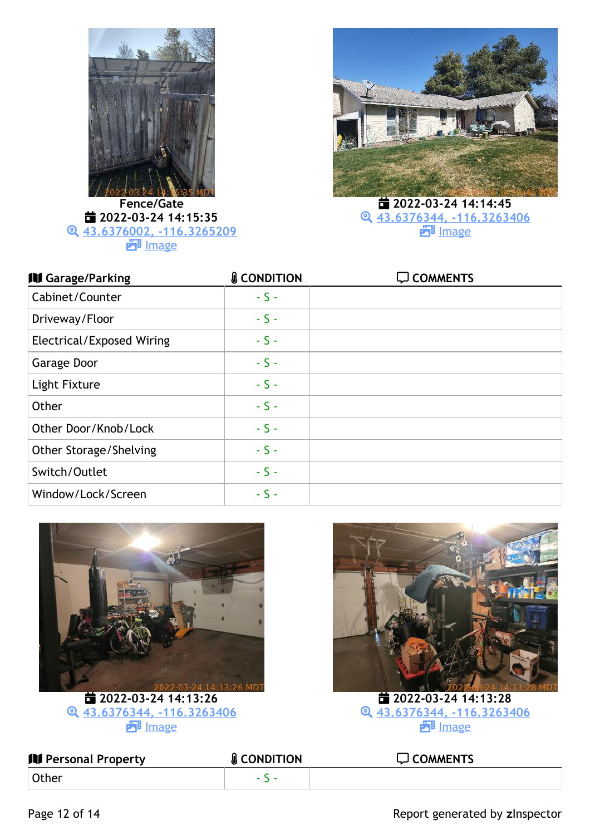

**Fence/Gate 2022-03-24 14:15:35 43.6376002, [-116.3265209](https://portfolio.zinspector.com/report/openMediaDocument/?type=map&data=43.6376002,-116.3265209&area=Back%20Yard/Exterior&areaDesc=&areaNum=1&from=html&additionalDays=&includeAllActivities=&id=2164815213572458325&userPk=7602) E**lmage



 **2022-03-24 14:14:45 43.6376344, [-116.3263406](https://portfolio.zinspector.com/report/openMediaDocument/?type=map&data=43.6376344,-116.3263406&area=Back%20Yard/Exterior&areaDesc=&areaNum=1&from=html&additionalDays=&includeAllActivities=&id=2164815213572458325&userPk=7602) E**l [Image](https://portfolio.zinspector.com/report/media/nN2z9K3xd47OW64ZOUGY37MPOV0lDaq5)

| <b>III</b> Garage/Parking        | <b>&amp; CONDITION</b> | $\Box$ COMMENTS |
|----------------------------------|------------------------|-----------------|
| Cabinet/Counter                  | $-S -$                 |                 |
| Driveway/Floor                   | $-S -$                 |                 |
| <b>Electrical/Exposed Wiring</b> | $-S -$                 |                 |
| Garage Door                      | $-S -$                 |                 |
| Light Fixture                    | $-S -$                 |                 |
| Other                            | $-S -$                 |                 |
| Other Door/Knob/Lock             | $-S -$                 |                 |
| Other Storage/Shelving           | $-S -$                 |                 |
| Switch/Outlet                    | $-S -$                 |                 |
| Window/Lock/Screen               | $-S -$                 |                 |



 **2022-03-24 14:13:26 43.6376344, [-116.3263406](https://portfolio.zinspector.com/report/openMediaDocument/?type=map&data=43.6376344,-116.3263406&area=Garage/Parking&areaDesc=&areaNum=1&from=html&additionalDays=&includeAllActivities=&id=2164815213572458325&userPk=7602) E**lmage



 **2022-03-24 14:13:28 43.6376344, [-116.3263406](https://portfolio.zinspector.com/report/openMediaDocument/?type=map&data=43.6376344,-116.3263406&area=Garage/Parking&areaDesc=&areaNum=1&from=html&additionalDays=&includeAllActivities=&id=2164815213572458325&userPk=7602)** E<sup>1</sup> [Image](https://portfolio.zinspector.com/report/media/jNlAe54bq17MYgQ83SW5b7pk3aEWoxZY)

| <b>III</b> Personal Property | <b>&amp; CONDITION</b> | $\Box$ COMMENTS |
|------------------------------|------------------------|-----------------|
| <b>Other</b>                 |                        |                 |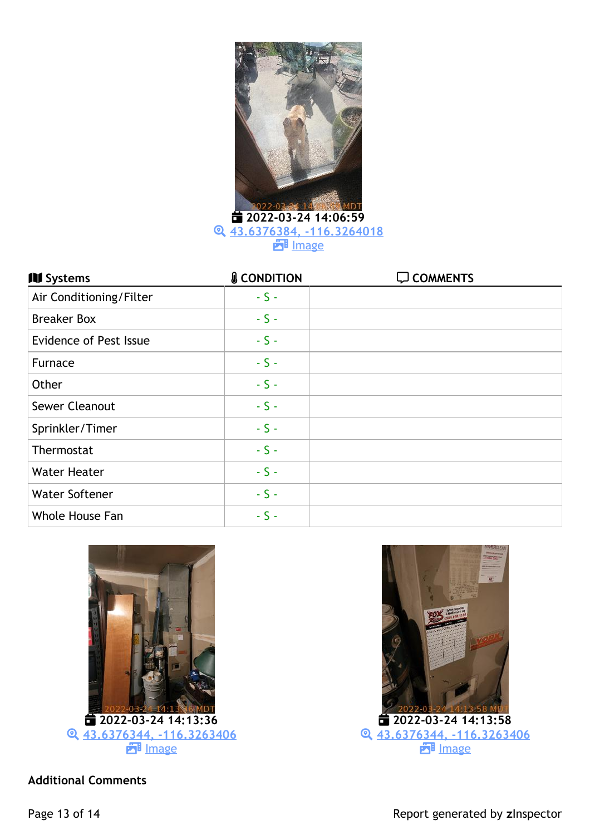

 **2022-03-24 14:06:59 43.6376384, [-116.3264018](https://portfolio.zinspector.com/report/openMediaDocument/?type=map&data=43.6376384,-116.3264018&area=Personal%20Property&areaDesc=&areaNum=1&from=html&additionalDays=&includeAllActivities=&id=2164815213572458325&userPk=7602) P**ilmage

| <b>III</b> Systems            | <b>&amp; CONDITION</b> | $\Box$ COMMENTS |
|-------------------------------|------------------------|-----------------|
| Air Conditioning/Filter       | $-S -$                 |                 |
| <b>Breaker Box</b>            | $-S -$                 |                 |
| <b>Evidence of Pest Issue</b> | $-S -$                 |                 |
| Furnace                       | $-S -$                 |                 |
| Other                         | $-S -$                 |                 |
| Sewer Cleanout                | $-S -$                 |                 |
| Sprinkler/Timer               | $-S -$                 |                 |
| Thermostat                    | $-S -$                 |                 |
| <b>Water Heater</b>           | $-S -$                 |                 |
| <b>Water Softener</b>         | $-S -$                 |                 |
| Whole House Fan               | $-S -$                 |                 |





**Additional Comments**